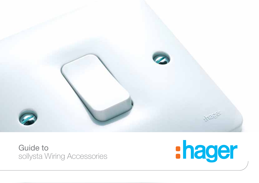

Guide to sollysta Wiring Accessories

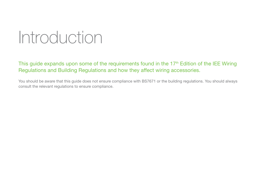### Introduction

This guide expands upon some of the requirements found in the  $17<sup>th</sup>$  Edition of the IEE Wiring Regulations and Building Regulations and how they affect wiring accessories.

You should be aware that this guide does not ensure compliance with BS7671 or the building regulations. You should always consult the relevant regulations to ensure compliance.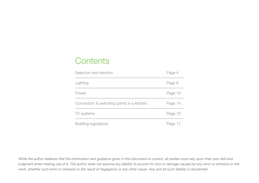### **Contents**

| Selection and erection                     | Page 4  |
|--------------------------------------------|---------|
| Lighting                                   | Page 6  |
| Power                                      | Page 10 |
| Connection & switching points in a kitchen | Page 14 |
| TV systems                                 | Page 16 |
| Building regulations                       | Page 17 |

While the author believes that the information and guidance given in this document is correct, all parties must rely upon their own skill and *judgment when making use of it. The author does not assume any liability to anyone for loss or damage caused by any error or omission in the work, whether such error or omission is the result of negligence or any other cause. Any and all such liability is disclaimed.*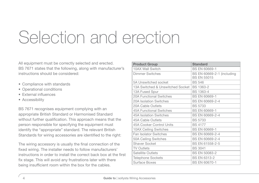### Selection and erection

All equipment must be correctly selected and erected. BS 7671 states that the following, along with manufacturer's instructions should be considered:

- Compliance with standards
- Operational conditions
- External influences
- Accessibility

BS 7671 recognises equipment complying with an appropriate British Standard or Harmonised Standard without further qualification. This approach means that the person responsible for specifying the equipment must identify the "appropriate" standard. The relevant British Standards for wiring accessories are identified to the right:

The wiring accessory is usually the final connection of the fixed wiring. The installer needs to follow manufacturers' instructions in order to install the correct back box at the first fix stage. This will avoid any frustrations later with there being insufficient room within the box for the cables.

| <b>Product Group</b>             | <b>Standard</b>                                  |
|----------------------------------|--------------------------------------------------|
| 10AX Wall Switch                 | <b>BS EN 60669-1</b>                             |
| <b>Dimmer Switches</b>           | BS EN 60669-2-1 (including<br><b>BS EN 55015</b> |
| 5A Unswitched socket             | <b>BS 546</b>                                    |
| 13A Switched & Unswitched Socket | <b>BS 1363-2</b>                                 |
| 13A Fused Spur                   | BS 1363-4                                        |
| <b>20A Functional Switches</b>   | <b>BS EN 60669-1</b>                             |
| <b>20A Isolation Switches</b>    | BS EN 60669-2-4                                  |
| 20A Cable Outlets                | <b>BS 5733</b>                                   |
| <b>45A Functional Switches</b>   | <b>BS EN 60669-1</b>                             |
| 45A Isolation Switches           | BS EN 60669-2-4                                  |
| 45A Cable Outlets                | <b>BS 5733</b>                                   |
| 45A Cooker Control Units         | <b>BS 4177</b>                                   |
| <b>10AX Ceiling Switches</b>     | <b>BS EN 60669-1</b>                             |
| <b>Fan Isolator Switches</b>     | BS EN 60669-2-4                                  |
| 50A Ceiling Switches             | BS EN 60669-2-4                                  |
| <b>Shaver Socket</b>             | BS EN 61558-2-5                                  |
| <b>TV Outlets</b>                | <b>BS 3041</b>                                   |
| <b>Satellite Outlets</b>         | <b>BS EN 50083-2</b>                             |
| <b>Telephone Sockets</b>         | <b>BS EN 6313-2</b>                              |
| Surface Boxes                    | BS EN 60670-1                                    |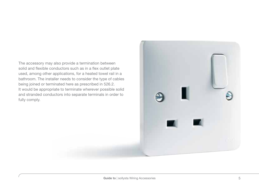The accessory may also provide a termination between solid and flexible conductors such as in a flex outlet plate used, among other applications, for a heated towel rail in a bathroom. The installer needs to consider the type of cables being joined or terminated here as prescribed in 526.2. It would be appropriate to terminate wherever possible solid and stranded conductors into separate terminals in order to fully comply.

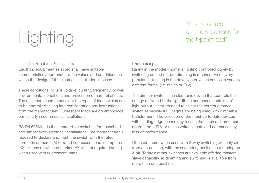# Lighting

#### Light switches & load type

Electrical equipment selected shall have suitable characteristics appropriate to the values and conditions on which the design of the electrical installation is based.

These conditions include voltage, current, frequency, power, environmental conditions and prevention of harmful effects. The designer needs to consider the types of loads which are to be controlled taking into consideration any instructions from the manufacturer. Fluorescent loads are commonplace, particularly in commercial installations.

BS EN 60669-1 is the standard for switches for household and similar fixed-electrical installations. The manufacturer is required to declare and mark the switch with the rated current in amperes (A) or rated fluorescent load in amperes (AX). Hence a switched marked AX will not require derating when used with fluorescent loads.

"Ensure correct dimmers are used for the type of load".

#### Dimming

Rarely in the modern home is lighting controlled purely by switching on and off, but dimming is required. Also a very popular light fitting is the downlighter which comes in various different forms, (i.e. mains or ELV).

The dimmer switch is an electronic device that controls the energy delivered to the light fitting and hence controls its' light output. Installers need to select the correct dimmer switch especially if ELV lights are being used with dimmable transformers. The selection of the most up to date devices with leading edge technology means that such a dimmer can operate both ELV or mains voltage lights and not cause any loss of performance.

Often dimmers, when used with 2-way switching will only dim from one position, with the secondary position just turning on & off. Today dimmer switches are available offering master/ slave capability so dimming and switching is available from more than one position.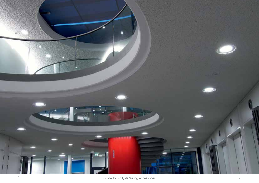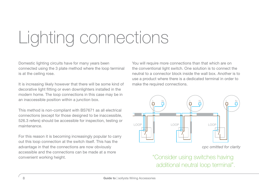# Lighting connections

Domestic lighting circuits have for many years been connected using the 3 plate method where the loop terminal is at the ceiling rose.

It is increasing likely however that there will be some kind of decorative light fitting or even downlighters installed in the modern home. The loop connections in this case may be in an inaccessible position within a junction box.

This method is non-compliant with BS7671 as all electrical connections (except for those designed to be inaccessible, 526.3 refers) should be accessible for inspection, testing or maintenance.

For this reason it is becoming increasingly popular to carry out this loop connection at the switch itself. This has the advantage in that the connections are now obviously accessible and the connections can be made at a more convenient working height.

You will require more connections than that which are on the conventional light switch. One solution is to connect the neutral to a connector block inside the wall box. Another is to use a product where there is a dedicated terminal in order to make the required connections.



*cpc omitted for clarity*

"Consider using switches having additional neutral loop terminal".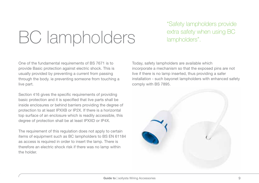## BC lampholders

"Safety lampholders provide extra safety when using BC lampholders".

One of the fundamental requirements of BS 7671 is to provide Basic protection against electric shock. This is usually provided by preventing a current from passing through the body. ie preventing someone from touching a live part.

Section 416 gives the specific requirements of providing basic protection and it is specified that live parts shall be inside enclosures or behind barriers providing the degree of protection to at least IPXXB or IP2X. If there is a horizontal top surface of an enclosure which is readily accessible, this degree of protection shall be at least IPXXD or IP4X.

The requirement of this regulation does not apply to certain items of equipment such as BC lampholders to BS EN 61184 as access is required in order to insert the lamp. There is therefore an electric shock risk if there was no lamp within the holder.

Today, safety lampholders are available which incorporate a mechanism so that the exposed pins are not live if there is no lamp inserted, thus providing a safer installation - such bayonet lampholders with enhanced safety comply with BS 7895.

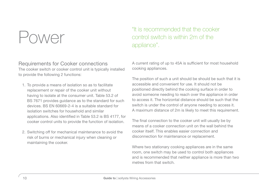### POWEr

### "It is recommended that the cooker control switch is within 2m of the appliance".

#### Requirements for Cooker connections

The cooker switch or cooker control unit is typically installed to provide the following 2 functions:

- 1. To provide a means of isolation so as to facilitate replacement or repair of the cooker unit without having to isolate at the consumer unit. Table 53.2 of BS 7671 provides guidance as to the standard for such devices. BS EN 60669-2-4 is a suitable standard for isolation switches for household and similar applications. Also identified in Table 53.2 is BS 4177, for cooker control units to provide the function of isolation.
- 2. Switching off for mechanical maintenance to avoid the risk of burns or mechanical injury when cleaning or maintaining the cooker.

A current rating of up to 45A is sufficient for most household cooking appliances.

The position of such a unit should be should be such that it is accessible and convenient for use. It should not be positioned directly behind the cooking surface in order to avoid someone needing to reach over the appliance in order to access it. The horizontal distance should be such that the switch is under the control of anyone needing to access it. A maximum distance of 2m is likely to meet this requirement.

The final connection to the cooker unit will usually be by means of a cooker connection unit on the wall behind the cooker itself. This enables easier connection and disconnection for maintenance or replacement.

Where two stationary cooking appliances are in the same room, one switch may be used to control both appliances and is recommended that neither appliance is more than two metres from that switch.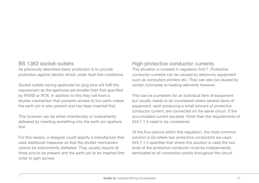#### BS 1363 socket-outlets

As previously described basic protection is to provide protection against electric shock under fault free conditions.

Socket outlets having apertures for plug pins will fulfil the requirement as the apertures are smaller than that specified by IPXXB or IP2X. In addition to this they will have a shutter mechanism that prevents access to live parts unless the earth pin is also present and has been inserted first.

This however can be either intentionally or inadvertently defeated by inserting something into the earth pin aperture first.

For this reason, a designer could specify a manufacture that uses additional measures so that the shutter mechanism cannot be inadvertently defeated. They usually require all three pins to be present and the earth pin to be inserted first order to gain access

#### High protective conductor currents

This situation is covered in regulation 543.7. Protective conductor currents can be caused by electronic equipment such as computers printers etc. They can also be caused by certain luminaires or heating elements however.

This can be a problem for an individual item of equipment but usually needs to be considered where several items of equipment, each producing a small amount of protective conductor current, are connected on the same circuit. If the accumulated current exceeds 10mA then the requirements of 543.7.1.3 need to be considered.

Of the five options within this regulation, the most common solution is (iii) where two protective conductors are used. 543.7.1.4 specifies that where this solution is used the two ends of the protective conductor must be independently terminated at all connection points throughout the circuit.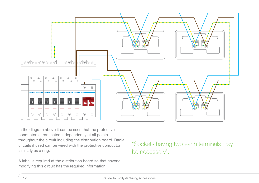

In the diagram above it can be seen that the protective conductor is terminated independently at all points throughout the circuit including the distribution board. Radial circuits if used can be wired with the protective conductor similarly as a ring.

A label is required at the distribution board so that anyone modifying this circuit has the required information.

"Sockets having two earth terminals may be necessary".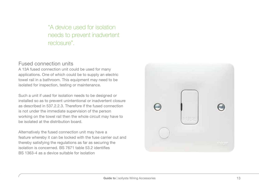"A device used for isolation needs to prevent inadvertent reclosure".

#### Fused connection units

A 13A fused connection unit could be used for many applications. One of which could be to supply an electric towel rail in a bathroom. This equipment may need to be isolated for inspection, testing or maintenance.

Such a unit if used for isolation needs to be designed or installed so as to prevent unintentional or inadvertent closure as described in 537.2.2.3. Therefore if the fused connection is not under the immediate supervision of the person working on the towel rail then the whole circuit may have to be isolated at the distribution board.

Alternatively the fused connection unit may have a feature whereby it can be locked with the fuse carrier out and thereby satisfying the regulations as far as securing the isolation is concerned. BS 7671 table 53.2 identifies BS 1363-4 as a device suitable for isolation

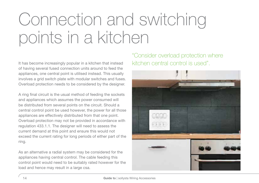## Connection and switching points in a kitchen

It has become increasingly popular in a kitchen that instead of having several fused connection units around to feed the appliances, one central point is utilised instead. This usually involves a grid switch plate with modular switches and fuses. Overload protection needs to be considered by the designer.

A ring final circuit is the usual method of feeding the sockets and appliances which assumes the power consumed will be distributed from several points on the circuit. Should a central control point be used however, the power for all those appliances are effectively distributed from that one point. Overload protection may not be provided in accordance with regulation 433.1.1. The designer will need to assess the current demand at this point and ensure this would not exceed the current rating for long periods of either part of the ring.

As an alternative a radial system may be considered for the appliances having central control. The cable feeding this control point would need to be suitably rated however for the load and hence may result in a large csa.

"Consider overload protection where kitchen central control is used".

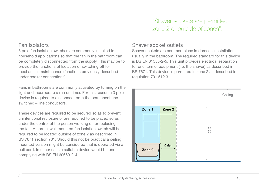#### Fan Isolators

3 pole fan isolation switches are commonly installed in household applications so that the fan in the bathroom can be completely disconnected from the supply. This may be to provide the functions of Isolation or switching off for mechanical maintenance (functions previously described under cooker connections).

Fans in bathrooms are commonly activated by turning on the light and incorporate a run on timer. For this reason a 3 pole device is required to disconnect both the permanent and switched – line conductors.

These devices are required to be secured so as to prevent unintentional reclosure or are required to be placed so as under the control of the person working on or replacing the fan. A normal wall mounted fan isolation switch will be required to be located outside of zone 2 as described in BS 7671 section 701. Should this not be practical a ceiling mounted version might be considered that is operated via a pull cord. In either case a suitable device would be one complying with BS EN 60669-2-4.

### "Shaver sockets are permitted in zone 2 or outside of zones".

#### Shaver socket outlets

Shaver sockets are common place in domestic installations, usually in the bathroom. The required standard for this device is BS EN 61558-2-5. This unit provides electrical separation for one item of equipment (i.e. the shaver) as described in BS 7671. This device is permitted in zone 2 as described in regulation 701.512.3.

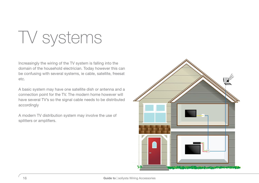## TV systems

Increasingly the wiring of the TV system is falling into the domain of the household electrician. Today however this can be confusing with several systems, ie cable, satellite, freesat etc.

A basic system may have one satellite dish or antenna and a connection point for the TV. The modern home however will have several TV's so the signal cable needs to be distributed accordingly

A modern TV distribution system may involve the use of splitters or amplifiers.

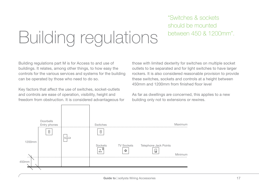#### Guide to | sollysta Wiring Accessories 17

# Building regulations

Building regulations part M is for Access to and use of buildings. It relates, among other things, to how easy the controls for the various services and systems for the building can be operated by those who need to do so.

Key factors that affect the use of switches, socket-outlets and controls are ease of operation, visibility, height and freedom from obstruction. It is considered advantageous for those with limited dexterity for switches on multiple socket outlets to be separated and for light switches to have larger rockers. It is also considered reasonable provision to provide these switches, sockets and controls at a height between 450mm and 1200mm from finished floor level

"Switches & sockets should be mounted

between 450 & 1200mm".

As far as dwellings are concerned, this applies to a new building only not to extensions or rewires.